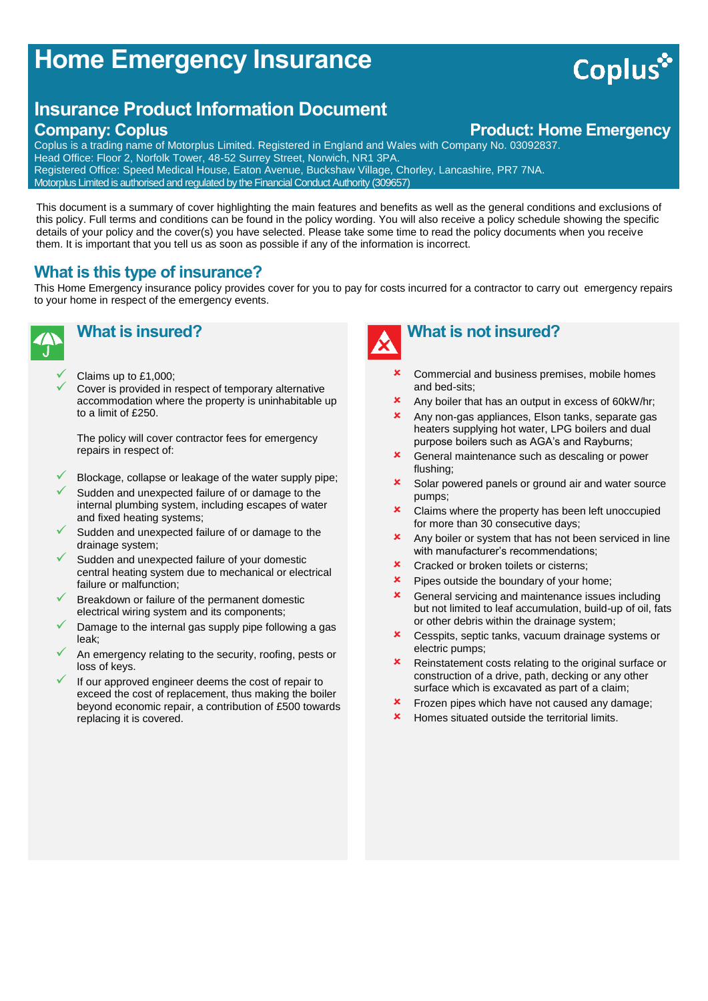# **Home Emergency Insurance**

## **Insurance Product Information Document Company: Coplus Company: Coplus Product: Home Emergency**

Coplus is a trading name of Motorplus Limited. Registered in England and Wales with Company No. 03092837. Head Office: Floor 2, Norfolk Tower, 48-52 Surrey Street, Norwich, NR1 3PA. Registered Office: Speed Medical House, Eaton Avenue, Buckshaw Village, Chorley, Lancashire, PR7 7NA. Motorplus Limited is authorised and regulated by the Financial Conduct Authority (309657)

This document is a summary of cover highlighting the main features and benefits as well as the general conditions and exclusions of this policy. Full terms and conditions can be found in the policy wording. You will also receive a policy schedule showing the specific details of your policy and the cover(s) you have selected. Please take some time to read the policy documents when you receive them. It is important that you tell us as soon as possible if any of the information is incorrect.

#### **What is this type of insurance?**

This Home Emergency insurance policy provides cover for you to pay for costs incurred for a contractor to carry out emergency repairs to your home in respect of the emergency events.



# **What is insured?**

 Claims up to £1,000; Cover is provided in respect of temporary alternative accommodation where the property is uninhabitable up to a limit of £250.

The policy will cover contractor fees for emergency repairs in respect of:

- Blockage, collapse or leakage of the water supply pipe;
- Sudden and unexpected failure of or damage to the internal plumbing system, including escapes of water and fixed heating systems;
- Sudden and unexpected failure of or damage to the drainage system;
- Sudden and unexpected failure of your domestic central heating system due to mechanical or electrical failure or malfunction;
- Breakdown or failure of the permanent domestic electrical wiring system and its components;
- Damage to the internal gas supply pipe following a gas leak;
- An emergency relating to the security, roofing, pests or loss of keys.
- If our approved engineer deems the cost of repair to exceed the cost of replacement, thus making the boiler beyond economic repair, a contribution of £500 towards replacing it is covered.



# **What is not insured?**

- Commercial and business premises, mobile homes and bed-sits;
- Any boiler that has an output in excess of 60kW/hr;
- **x** Any non-gas appliances, Elson tanks, separate gas heaters supplying hot water, LPG boilers and dual purpose boilers such as AGA's and Rayburns;
- **x** General maintenance such as descaling or power flushing;
- **x** Solar powered panels or ground air and water source pumps;
- **x** Claims where the property has been left unoccupied for more than 30 consecutive days;
- Any boiler or system that has not been serviced in line with manufacturer's recommendations;
- **x** Cracked or broken toilets or cisterns;
- **\*** Pipes outside the boundary of your home;
- **x** General servicing and maintenance issues including but not limited to leaf accumulation, build-up of oil, fats or other debris within the drainage system;
- **x** Cesspits, septic tanks, vacuum drainage systems or electric pumps;
- Reinstatement costs relating to the original surface or construction of a drive, path, decking or any other surface which is excavated as part of a claim;
- **\*** Frozen pipes which have not caused any damage;
- **\*** Homes situated outside the territorial limits.